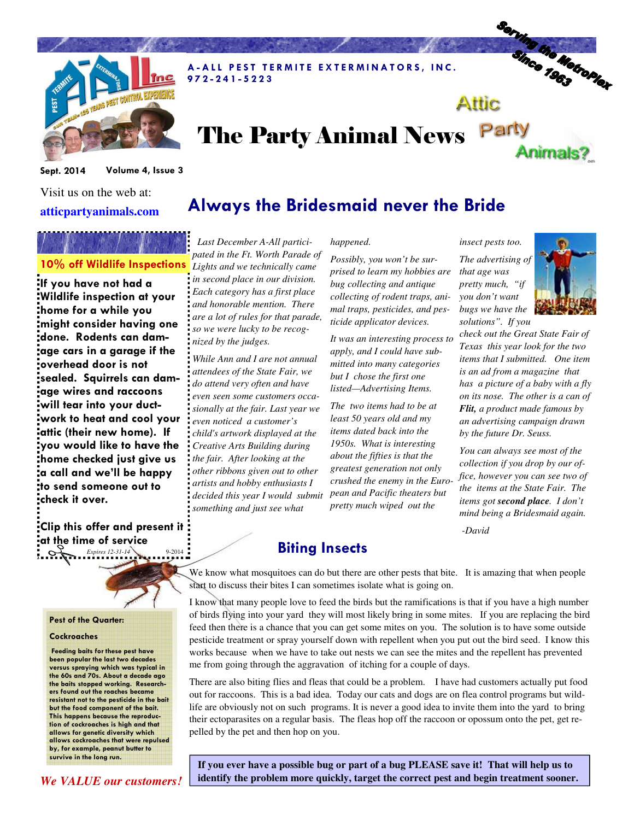

# Serving the Metroplex Attic

A-ALL PEST TERMITE EXTERMINATORS, INC.

# The Party Animal News Party Animals?

Sept. 2014 Volume 4, Issue 3

Visit us on the web at: **atticpartyanimals.com** 

If you have not had a Wildlife inspection at your home for a while you might consider having one done. Rodents can damage cars in a garage if the overhead door is not sealed. Squirrels can damage wires and raccoons will tear into your ductwork to heat and cool your attic (their new home). If you would like to have the home checked just give us a call and we'll be happy to send someone out to check it over.

*Expires 12-31-14* 9-2014 Clip this offer and present it at the time of service



#### Pest of the Quarter:

#### **Cockroaches**

 Feeding baits for these pest have been popular the last two decades versus spraying which was typical in the 60s and 70s. About a decade ago the baits stopped working. Researchers found out the roaches became resistant not to the pesticide in the bait but the food component of the bait. This happens because the reproduction of cockroaches is high and that allows for genetic diversity which allows cockroaches that were repulsed by, for example, peanut butter to survive in the long run.

10% off Wildlife Inspections *Lights and we technically came Last December A-All participated in the Ft. Worth Parade of in second place in our division. Each category has a first place and honorable mention. There are a lot of rules for that parade, so we were lucky to be recognized by the judges.* 

9 7 2 - 2 4 1 - 5 2 2 3

*While Ann and I are not annual attendees of the State Fair, we do attend very often and have even seen some customers occasionally at the fair. Last year we even noticed a customer's child's artwork displayed at the Creative Arts Building during the fair. After looking at the other ribbons given out to other artists and hobby enthusiasts I decided this year I would submit something and just see what* 

### *happened.*

Always the Bridesmaid never the Bride

*Possibly, you won't be surprised to learn my hobbies are bug collecting and antique collecting of rodent traps, animal traps, pesticides, and pesticide applicator devices.* 

*It was an interesting process to apply, and I could have submitted into many categories but I chose the first one listed—Advertising Items.* 

*The two items had to be at least 50 years old and my items dated back into the 1950s. What is interesting about the fifties is that the greatest generation not only crushed the enemy in the European and Pacific theaters but pretty much wiped out the* 

*insect pests too. The advertising of that age was pretty much, "if you don't want bugs we have the solutions". If you* 



*check out the Great State Fair of Texas this year look for the two items that I submitted. One item is an ad from a magazine that has a picture of a baby with a fly on its nose. The other is a can of Flit, a product made famous by an advertising campaign drawn by the future Dr. Seuss.* 

*You can always see most of the collection if you drop by our office, however you can see two of the items at the State Fair. The items got second place. I don't mind being a Bridesmaid again.* 

 *-David*

## Biting Insects

We know what mosquitoes can do but there are other pests that bite. It is amazing that when people start to discuss their bites I can sometimes isolate what is going on.

I know that many people love to feed the birds but the ramifications is that if you have a high number of birds flying into your yard they will most likely bring in some mites. If you are replacing the bird feed then there is a chance that you can get some mites on you. The solution is to have some outside pesticide treatment or spray yourself down with repellent when you put out the bird seed. I know this works because when we have to take out nests we can see the mites and the repellent has prevented me from going through the aggravation of itching for a couple of days.

There are also biting flies and fleas that could be a problem. I have had customers actually put food out for raccoons. This is a bad idea. Today our cats and dogs are on flea control programs but wildlife are obviously not on such programs. It is never a good idea to invite them into the yard to bring their ectoparasites on a regular basis. The fleas hop off the raccoon or opossum onto the pet, get repelled by the pet and then hop on you.

**If you ever have a possible bug or part of a bug PLEASE save it! That will help us to**  *We VALUE our customers!* **identify the problem more quickly, target the correct pest and begin treatment sooner.**